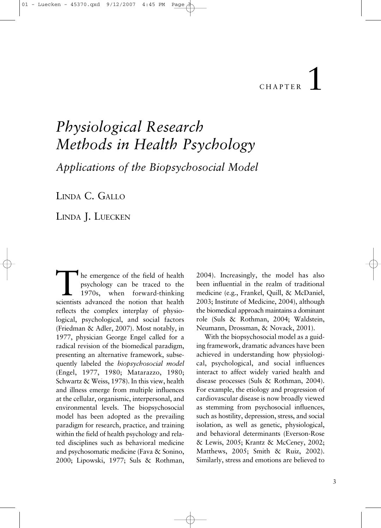# 1 CHAPTER

# *Physiological Research Methods in Health Psychology*

*Applications of the Biopsychosocial Model*

LINDA C. GALLO

LINDA J. LUECKEN

he emergence of the field of health psychology can be traced to the 1970s, when forward-thinking scientists advanced the notion that health reflects the complex interplay of physiological, psychological, and social factors (Friedman & Adler, 2007). Most notably, in 1977, physician George Engel called for a radical revision of the biomedical paradigm, presenting an alternative framework, subsequently labeled the *biopsychosocial model* (Engel, 1977, 1980; Matarazzo, 1980; Schwartz & Weiss, 1978). In this view, health and illness emerge from multiple influences at the cellular, organismic, interpersonal, and environmental levels. The biopsychosocial model has been adopted as the prevailing paradigm for research, practice, and training within the field of health psychology and related disciplines such as behavioral medicine and psychosomatic medicine (Fava & Sonino, 2000; Lipowski, 1977; Suls & Rothman,

2004). Increasingly, the model has also been influential in the realm of traditional medicine (e.g., Frankel, Quill, & McDaniel, 2003; Institute of Medicine, 2004), although the biomedical approach maintains a dominant role (Suls & Rothman, 2004; Waldstein, Neumann, Drossman, & Novack, 2001).

With the biopsychosocial model as a guiding framework, dramatic advances have been achieved in understanding how physiological, psychological, and social influences interact to affect widely varied health and disease processes (Suls & Rothman, 2004). For example, the etiology and progression of cardiovascular disease is now broadly viewed as stemming from psychosocial influences, such as hostility, depression, stress, and social isolation, as well as genetic, physiological, and behavioral determinants (Everson-Rose & Lewis, 2005; Krantz & McCeney, 2002; Matthews, 2005; Smith & Ruiz, 2002). Similarly, stress and emotions are believed to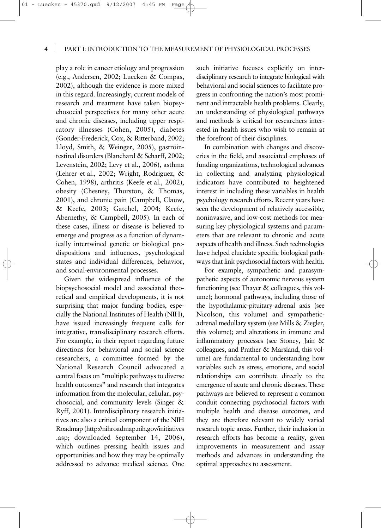play a role in cancer etiology and progression (e.g., Andersen, 2002; Luecken & Compas, 2002), although the evidence is more mixed in this regard. Increasingly, current models of research and treatment have taken biopsychosocial perspectives for many other acute and chronic diseases, including upper respiratory illnesses (Cohen, 2005), diabetes (Gonder-Frederick, Cox, & Ritterband, 2002; Lloyd, Smith, & Weinger, 2005), gastrointestinal disorders (Blanchard & Scharff, 2002; Levenstein, 2002; Levy et al., 2006), asthma (Lehrer et al., 2002; Wright, Rodriguez, & Cohen, 1998), arthritis (Keefe et al., 2002), obesity (Chesney, Thurston, & Thomas, 2001), and chronic pain (Campbell, Clauw, & Keefe, 2003; Gatchel, 2004; Keefe, Abernethy, & Campbell, 2005). In each of these cases, illness or disease is believed to emerge and progress as a function of dynamically intertwined genetic or biological predispositions and influences, psychological states and individual differences, behavior, and social-environmental processes.

01 - Luecken - 45370.qxd 9/12/2007

Given the widespread influence of the biopsychosocial model and associated theoretical and empirical developments, it is not surprising that major funding bodies, especially the National Institutes of Health (NIH), have issued increasingly frequent calls for integrative, transdisciplinary research efforts. For example, in their report regarding future directions for behavioral and social science researchers, a committee formed by the National Research Council advocated a central focus on "multiple pathways to diverse health outcomes" and research that integrates information from the molecular, cellular, psychosocial, and community levels (Singer & Ryff, 2001). Interdisciplinary research initiatives are also a critical component of the NIH Roadmap (http://nihroadmap.nih.gov/initiatives .asp; downloaded September 14, 2006), which outlines pressing health issues and opportunities and how they may be optimally addressed to advance medical science. One

such initiative focuses explicitly on interdisciplinary research to integrate biological with behavioral and social sciences to facilitate progress in confronting the nation's most prominent and intractable health problems. Clearly, an understanding of physiological pathways and methods is critical for researchers interested in health issues who wish to remain at the forefront of their disciplines.

In combination with changes and discoveries in the field, and associated emphases of funding organizations, technological advances in collecting and analyzing physiological indicators have contributed to heightened interest in including these variables in health psychology research efforts. Recent years have seen the development of relatively accessible, noninvasive, and low-cost methods for measuring key physiological systems and parameters that are relevant to chronic and acute aspects of health and illness. Such technologies have helped elucidate specific biological pathways that link psychosocial factors with health.

For example, sympathetic and parasympathetic aspects of autonomic nervous system functioning (see Thayer & colleagues, this volume); hormonal pathways, including those of the hypothalamic-pituitary-adrenal axis (see Nicolson, this volume) and sympatheticadrenal medullary system (see Mills & Ziegler, this volume); and alterations in immune and inflammatory processes (see Stoney, Jain & colleagues, and Prather & Marsland, this volume) are fundamental to understanding how variables such as stress, emotions, and social relationships can contribute directly to the emergence of acute and chronic diseases. These pathways are believed to represent a common conduit connecting psychosocial factors with multiple health and disease outcomes, and they are therefore relevant to widely varied research topic areas. Further, their inclusion in research efforts has become a reality, given improvements in measurement and assay methods and advances in understanding the optimal approaches to assessment.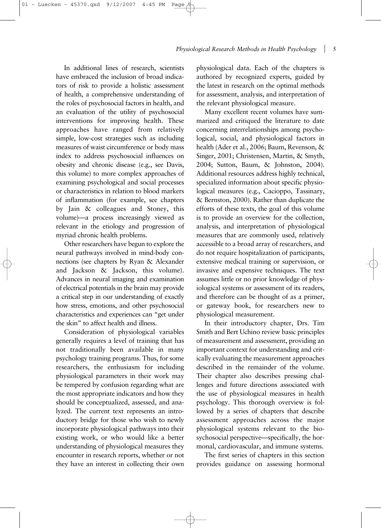In additional lines of research, scientists have embraced the inclusion of broad indicators of risk to provide a holistic assessment of health, a comprehensive understanding of the roles of psychosocial factors in health, and an evaluation of the utility of psychosocial interventions for improving health. These approaches have ranged from relatively simple, low-cost strategies such as including measures of waist circumference or body mass index to address psychosocial influences on obesity and chronic disease (e.g., see Davis, this volume) to more complex approaches of examining psychological and social processes or characteristics in relation to blood markers of inflammation (for example, see chapters by Jain & colleagues and Stoney, this volume)—a process increasingly viewed as relevant in the etiology and progression of myriad chronic health problems.

01 - Luecken - 45370.qxd 9/12/2007

Other researchers have begun to explore the neural pathways involved in mind-body connections (see chapters by Ryan & Alexander and Jackson & Jackson, this volume). Advances in neural imaging and examination of electrical potentials in the brain may provide a critical step in our understanding of exactly how stress, emotions, and other psychosocial characteristics and experiences can "get under the skin" to affect health and illness.

Consideration of physiological variables generally requires a level of training that has not traditionally been available in many psychology training programs. Thus, for some researchers, the enthusiasm for including physiological parameters in their work may be tempered by confusion regarding what are the most appropriate indicators and how they should be conceptualized, assessed, and analyzed. The current text represents an introductory bridge for those who wish to newly incorporate physiological pathways into their existing work, or who would like a better understanding of physiological measures they encounter in research reports, whether or not they have an interest in collecting their own

physiological data. Each of the chapters is authored by recognized experts, guided by the latest in research on the optimal methods for assessment, analysis, and interpretation of the relevant physiological measure.

Many excellent recent volumes have summarized and critiqued the literature to date concerning interrelationships among psychological, social, and physiological factors in health (Ader et al., 2006; Baum, Revenson, & Singer, 2001; Christensen, Martin, & Smyth, 2004; Sutton, Baum, & Johnston, 2004). Additional resources address highly technical, specialized information about specific physiological measures (e.g., Cacioppo, Tassinary, & Bernston, 2000). Rather than duplicate the efforts of these texts, the goal of this volume is to provide an overview for the collection, analysis, and interpretation of physiological measures that are commonly used, relatively accessible to a broad array of researchers, and do not require hospitalization of participants, extensive medical training or supervision, or invasive and expensive techniques. The text assumes little or no prior knowledge of physiological systems or assessment of its readers, and therefore can be thought of as a primer, or gateway book, for researchers new to physiological measurement.

In their introductory chapter, Drs. Tim Smith and Bert Uchino review basic principles of measurement and assessment, providing an important context for understanding and critically evaluating the measurement approaches described in the remainder of the volume. Their chapter also describes pressing challenges and future directions associated with the use of physiological measures in health psychology. This thorough overview is followed by a series of chapters that describe assessment approaches across the major physiological systems relevant to the biosychosocial perspective—specifically, the hormonal, cardiovascular, and immune systems.

The first series of chapters in this section provides guidance on assessing hormonal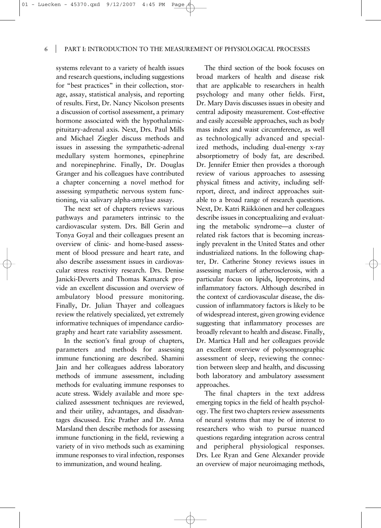## 6 PART I: INTRODUCTION TO THE MEASUREMENT OF PHYSIOLOGICAL PROCESSES

systems relevant to a variety of health issues and research questions, including suggestions for "best practices" in their collection, storage, assay, statistical analysis, and reporting of results. First, Dr. Nancy Nicolson presents a discussion of cortisol assessment, a primary hormone associated with the hypothalamicpituitary-adrenal axis. Next, Drs. Paul Mills and Michael Ziegler discuss methods and issues in assessing the sympathetic-adrenal medullary system hormones, epinephrine and norepinephrine. Finally, Dr. Douglas Granger and his colleagues have contributed a chapter concerning a novel method for assessing sympathetic nervous system functioning, via salivary alpha-amylase assay.

01 - Luecken - 45370.qxd 9/12/2007

The next set of chapters reviews various pathways and parameters intrinsic to the cardiovascular system. Drs. Bill Gerin and Tonya Goyal and their colleagues present an overview of clinic- and home-based assessment of blood pressure and heart rate, and also describe assessment issues in cardiovascular stress reactivity research. Drs. Denise Janicki-Deverts and Thomas Kamarck provide an excellent discussion and overview of ambulatory blood pressure monitoring. Finally, Dr. Julian Thayer and colleagues review the relatively specialized, yet extremely informative techniques of impendance cardiography and heart rate variability assessment.

In the section's final group of chapters, parameters and methods for assessing immune functioning are described. Shamini Jain and her colleagues address laboratory methods of immune assessment, including methods for evaluating immune responses to acute stress. Widely available and more specialized assessment techniques are reviewed, and their utility, advantages, and disadvantages discussed. Eric Prather and Dr. Anna Marsland then describe methods for assessing immune functioning in the field, reviewing a variety of in vivo methods such as examining immune responses to viral infection, responses to immunization, and wound healing.

The third section of the book focuses on broad markers of health and disease risk that are applicable to researchers in health psychology and many other fields. First, Dr. Mary Davis discusses issues in obesity and central adiposity measurement. Cost-effective and easily accessible approaches, such as body mass index and waist circumference, as well as technologically advanced and specialized methods, including dual-energy x-ray absorptiometry of body fat, are described. Dr. Jennifer Etnier then provides a thorough review of various approaches to assessing physical fitness and activity, including selfreport, direct, and indirect approaches suitable to a broad range of research questions. Next, Dr. Katri Räikkönen and her colleagues describe issues in conceptualizing and evaluating the metabolic syndrome—a cluster of related risk factors that is becoming increasingly prevalent in the United States and other industrialized nations. In the following chapter, Dr. Catherine Stoney reviews issues in assessing markers of atherosclerosis, with a particular focus on lipids, lipoproteins, and inflammatory factors. Although described in the context of cardiovascular disease, the discussion of inflammatory factors is likely to be of widespread interest, given growing evidence suggesting that inflammatory processes are broadly relevant to health and disease. Finally, Dr. Martica Hall and her colleagues provide an excellent overview of polysomnographic assessment of sleep, reviewing the connection between sleep and health, and discussing both laboratory and ambulatory assessment approaches.

The final chapters in the text address emerging topics in the field of health psychology. The first two chapters review assessments of neural systems that may be of interest to researchers who wish to pursue nuanced questions regarding integration across central and peripheral physiological responses. Drs. Lee Ryan and Gene Alexander provide an overview of major neuroimaging methods,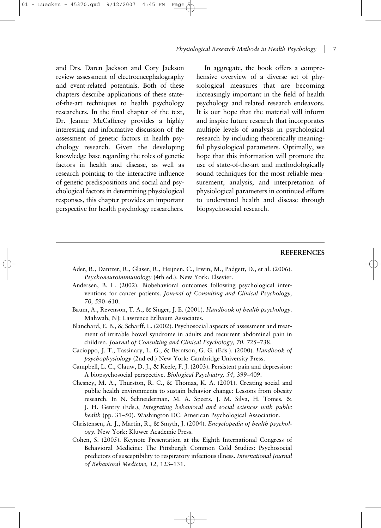## *Physiological Research Methods in Health Psychology* 7

and Drs. Daren Jackson and Cory Jackson review assessment of electroencephalography and event-related potentials. Both of these chapters describe applications of these stateof-the-art techniques to health psychology researchers. In the final chapter of the text, Dr. Jeanne McCafferey provides a highly interesting and informative discussion of the assessment of genetic factors in health psychology research. Given the developing knowledge base regarding the roles of genetic factors in health and disease, as well as research pointing to the interactive influence of genetic predispositions and social and psychological factors in determining physiological responses, this chapter provides an important perspective for health psychology researchers.

01 - Luecken - 45370.qxd 9/12/2007

In aggregate, the book offers a comprehensive overview of a diverse set of physiological measures that are becoming increasingly important in the field of health psychology and related research endeavors. It is our hope that the material will inform and inspire future research that incorporates multiple levels of analysis in psychological research by including theoretically meaningful physiological parameters. Optimally, we hope that this information will promote the use of state-of-the-art and methodologically sound techniques for the most reliable measurement, analysis, and interpretation of physiological parameters in continued efforts to understand health and disease through biopsychosocial research.

### **REFERENCES**

- Ader, R., Dantzer, R., Glaser, R., Heijnen, C., Irwin, M., Padgett, D., et al. (2006). *Psychoneuroimmunology* (4th ed.). New York: Elsevier.
- Andersen, B. L. (2002). Biobehavioral outcomes following psychological interventions for cancer patients. *Journal of Consulting and Clinical Psychology, 70,* 590–610.
- Baum, A., Revenson, T. A., & Singer, J. E. (2001). *Handbook of health psychology*. Mahwah, NJ: Lawrence Erlbaum Associates.
- Blanchard, E. B., & Scharff, L. (2002). Psychosocial aspects of assessment and treatment of irritable bowel syndrome in adults and recurrent abdominal pain in children. *Journal of Consulting and Clinical Psychology, 70,* 725–738.
- Cacioppo, J. T., Tassinary, L. G., & Berntson, G. G. (Eds.). (2000). *Handbook of psychophysiology* (2nd ed.) New York: Cambridge University Press.
- Campbell, L. C., Clauw, D. J., & Keefe, F. J. (2003). Persistent pain and depression: A biopsychosocial perspective. *Biological Psychiatry, 54,* 399–409.
- Chesney, M. A., Thurston, R. C., & Thomas, K. A. (2001). Creating social and public health environments to sustain behavior change: Lessons from obesity research. In N. Schneiderman, M. A. Speers, J. M. Silva, H. Tomes, & J. H. Gentry (Eds.), *Integrating behavioral and social sciences with public health* (pp. 31–50). Washington DC: American Psychological Association.
- Christensen, A. J., Martin, R., & Smyth, J. (2004). *Encyclopedia of health psychology*. New York: Kluwer Academic Press.
- Cohen, S. (2005). Keynote Presentation at the Eighth International Congress of Behavioral Medicine: The Pittsburgh Common Cold Studies: Psychosocial predictors of susceptibility to respiratory infectious illness. *International Journal of Behavioral Medicine, 12,* 123–131.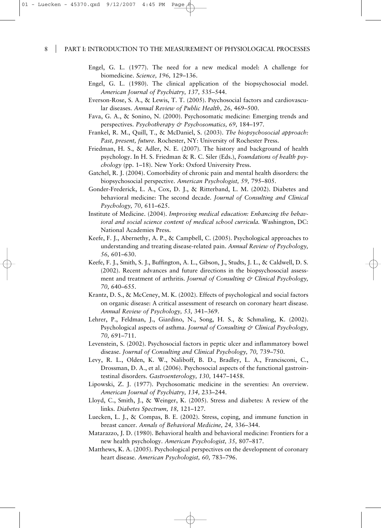#### 8 | PART I: INTRODUCTION TO THE MEASUREMENT OF PHYSIOLOGICAL PROCESSES

- Engel, G. L. (1977). The need for a new medical model: A challenge for biomedicine. *Science, 196,* 129–136.
- Engel, G. L. (1980). The clinical application of the biopsychosocial model. *American Journal of Psychiatry, 137,* 535–544.
- Everson-Rose, S. A., & Lewis, T. T. (2005). Psychosocial factors and cardiovascular diseases. *Annual Review of Public Health, 26,* 469–500.
- Fava, G. A., & Sonino, N. (2000). Psychosomatic medicine: Emerging trends and perspectives. *Psychotherapy & Psychosomatics, 69,* 184–197.
- Frankel, R. M., Quill, T., & McDaniel, S. (2003). *The biopsychosocial approach: Past, present, future*. Rochester, NY: University of Rochester Press.
- Friedman, H. S., & Adler, N. E. (2007). The history and background of health psychology. In H. S. Friedman & R. C. Siler (Eds.), *Foundations of health psychology* (pp. 1–18). New York: Oxford University Press.
- Gatchel, R. J. (2004). Comorbidity of chronic pain and mental health disorders: the biopsychosocial perspective. *American Psychologist, 59,* 795–805.
- Gonder-Frederick, L. A., Cox, D. J., & Ritterband, L. M. (2002). Diabetes and behavioral medicine: The second decade. *Journal of Consulting and Clinical Psychology, 70,* 611–625.
- Institute of Medicine. (2004). *Improving medical education: Enhancing the behavioral and social science content of medical school curricula.* Washington, DC: National Academies Press.
- Keefe, F. J., Abernethy, A. P., & Campbell, C. (2005). Psychological approaches to understanding and treating disease-related pain. *Annual Review of Psychology, 56,* 601–630.
- Keefe, F. J., Smith, S. J., Buffington, A. L., Gibson, J., Studts, J. L., & Caldwell, D. S. (2002). Recent advances and future directions in the biopsychosocial assessment and treatment of arthritis. *Journal of Consulting & Clinical Psychology, 70,* 640–655.
- Krantz, D. S., & McCeney, M. K. (2002). Effects of psychological and social factors on organic disease: A critical assessment of research on coronary heart disease. *Annual Review of Psychology, 53,* 341–369.
- Lehrer, P., Feldman, J., Giardino, N., Song, H. S., & Schmaling, K. (2002). Psychological aspects of asthma. *Journal of Consulting & Clinical Psychology, 70,* 691–711.
- Levenstein, S. (2002). Psychosocial factors in peptic ulcer and inflammatory bowel disease. *Journal of Consulting and Clinical Psychology, 70,* 739–750.
- Levy, R. L., Olden, K. W., Naliboff, B. D., Bradley, L. A., Francisconi, C., Drossman, D. A., et al. (2006). Psychosocial aspects of the functional gastrointestinal disorders. *Gastroenterology, 130,* 1447–1458.
- Lipowski, Z. J. (1977). Psychosomatic medicine in the seventies: An overview. *American Journal of Psychiatry, 134,* 233–244.
- Lloyd, C., Smith, J., & Weinger, K. (2005). Stress and diabetes: A review of the links. *Diabetes Spectrum, 18,* 121–127.
- Luecken, L. J., & Compas, B. E. (2002). Stress, coping, and immune function in breast cancer. *Annals of Behavioral Medicine, 24,* 336–344.
- Matarazzo, J. D. (1980). Behavioral health and behavioral medicine: Frontiers for a new health psychology. *American Psychologist, 35,* 807–817.
- Matthews, K. A. (2005). Psychological perspectives on the development of coronary heart disease. *American Psychologist, 60,* 783–796.